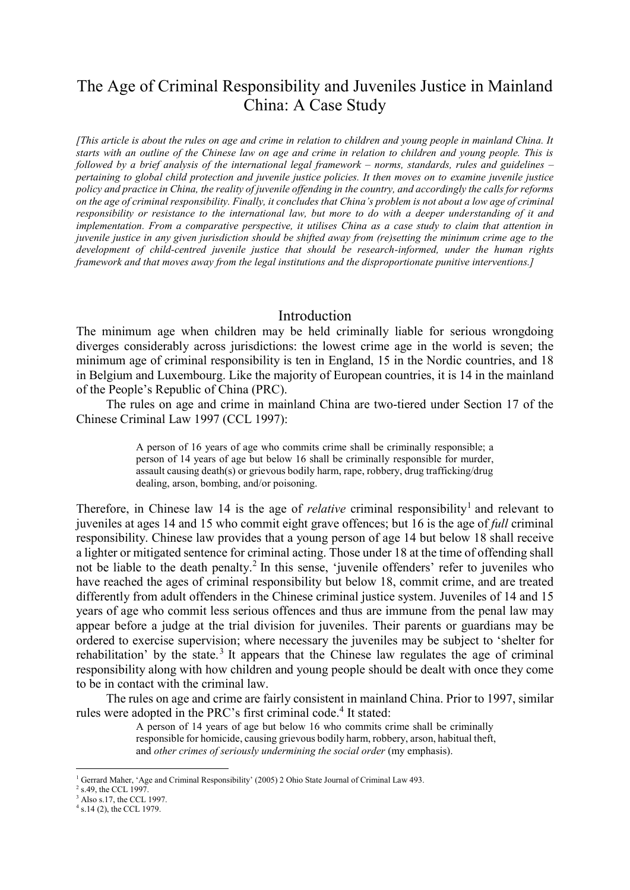# The Age of Criminal Responsibility and Juveniles Justice in Mainland China: A Case Study

*[This article is about the rules on age and crime in relation to children and young people in mainland China. It starts with an outline of the Chinese law on age and crime in relation to children and young people. This is followed by a brief analysis of the international legal framework – norms, standards, rules and guidelines – pertaining to global child protection and juvenile justice policies. It then moves on to examine juvenile justice policy and practice in China, the reality of juvenile offending in the country, and accordingly the calls for reforms on the age of criminal responsibility. Finally, it concludes that China's problem is not about a low age of criminal responsibility or resistance to the international law, but more to do with a deeper understanding of it and implementation. From a comparative perspective, it utilises China as a case study to claim that attention in juvenile justice in any given jurisdiction should be shifted away from (re)setting the minimum crime age to the development of child-centred juvenile justice that should be research-informed, under the human rights framework and that moves away from the legal institutions and the disproportionate punitive interventions.]* 

### Introduction

The minimum age when children may be held criminally liable for serious wrongdoing diverges considerably across jurisdictions: the lowest crime age in the world is seven; the minimum age of criminal responsibility is ten in England, 15 in the Nordic countries, and 18 in Belgium and Luxembourg. Like the majority of European countries, it is 14 in the mainland of the People's Republic of China (PRC).

The rules on age and crime in mainland China are two-tiered under Section 17 of the Chinese Criminal Law 1997 (CCL 1997):

> A person of 16 years of age who commits crime shall be criminally responsible; a person of 14 years of age but below 16 shall be criminally responsible for murder, assault causing death(s) or grievous bodily harm, rape, robbery, drug trafficking/drug dealing, arson, bombing, and/or poisoning.

Therefore, in Chinese law 14 is the age of *relative* criminal responsibility<sup>1</sup> and relevant to juveniles at ages 14 and 15 who commit eight grave offences; but 16 is the age of *full* criminal responsibility. Chinese law provides that a young person of age 14 but below 18 shall receive a lighter or mitigated sentence for criminal acting. Those under 18 at the time of offending shall not be liable to the death penalty.<sup>2</sup> In this sense, 'juvenile offenders' refer to juveniles who have reached the ages of criminal responsibility but below 18, commit crime, and are treated differently from adult offenders in the Chinese criminal justice system. Juveniles of 14 and 15 years of age who commit less serious offences and thus are immune from the penal law may appear before a judge at the trial division for juveniles. Their parents or guardians may be ordered to exercise supervision; where necessary the juveniles may be subject to 'shelter for rehabilitation' by the state.<sup>3</sup> It appears that the Chinese law regulates the age of criminal responsibility along with how children and young people should be dealt with once they come to be in contact with the criminal law.

The rules on age and crime are fairly consistent in mainland China. Prior to 1997, similar rules were adopted in the PRC's first criminal code.<sup>4</sup> It stated:

A person of 14 years of age but below 16 who commits crime shall be criminally responsible for homicide, causing grievous bodily harm, robbery, arson, habitual theft, and *other crimes of seriously undermining the social order* (my emphasis).

<sup>&</sup>lt;sup>1</sup> Gerrard Maher, 'Age and Criminal Responsibility' (2005) 2 Ohio State Journal of Criminal Law 493.

<sup>&</sup>lt;sup>2</sup> s.49, the CCL 1997.

<sup>3</sup> Also s.17, the CCL 1997.

 $4$  s.14 (2), the CCL 1979.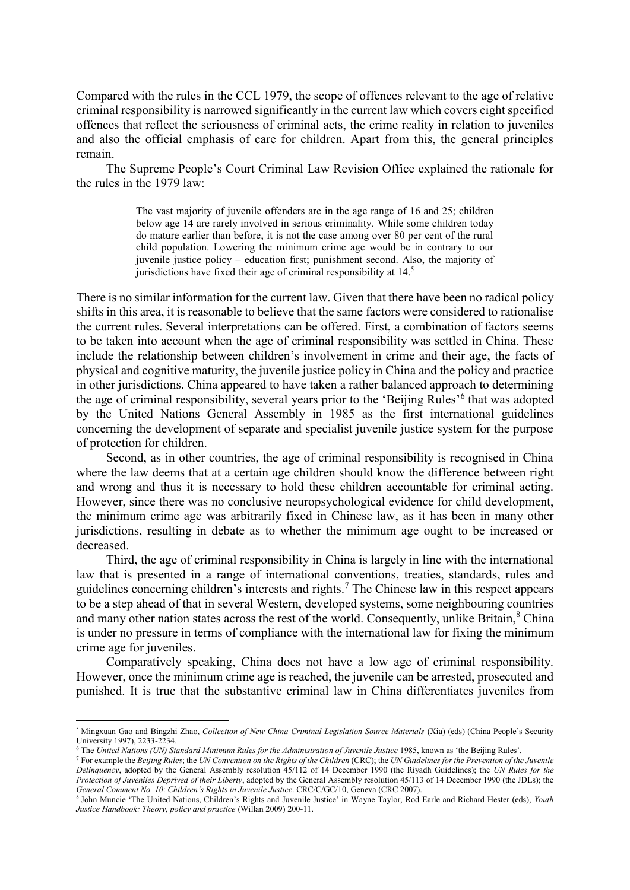Compared with the rules in the CCL 1979, the scope of offences relevant to the age of relative criminal responsibility is narrowed significantly in the current law which covers eight specified offences that reflect the seriousness of criminal acts, the crime reality in relation to juveniles and also the official emphasis of care for children. Apart from this, the general principles remain.

The Supreme People's Court Criminal Law Revision Office explained the rationale for the rules in the 1979 law:

> The vast majority of juvenile offenders are in the age range of 16 and 25; children below age 14 are rarely involved in serious criminality. While some children today do mature earlier than before, it is not the case among over 80 per cent of the rural child population. Lowering the minimum crime age would be in contrary to our juvenile justice policy – education first; punishment second. Also, the majority of jurisdictions have fixed their age of criminal responsibility at 14.5

There is no similar information for the current law. Given that there have been no radical policy shifts in this area, it is reasonable to believe that the same factors were considered to rationalise the current rules. Several interpretations can be offered. First, a combination of factors seems to be taken into account when the age of criminal responsibility was settled in China. These include the relationship between children's involvement in crime and their age, the facts of physical and cognitive maturity, the juvenile justice policy in China and the policy and practice in other jurisdictions. China appeared to have taken a rather balanced approach to determining the age of criminal responsibility, several years prior to the 'Beijing Rules'<sup>6</sup> that was adopted by the United Nations General Assembly in 1985 as the first international guidelines concerning the development of separate and specialist juvenile justice system for the purpose of protection for children.

Second, as in other countries, the age of criminal responsibility is recognised in China where the law deems that at a certain age children should know the difference between right and wrong and thus it is necessary to hold these children accountable for criminal acting. However, since there was no conclusive neuropsychological evidence for child development, the minimum crime age was arbitrarily fixed in Chinese law, as it has been in many other jurisdictions, resulting in debate as to whether the minimum age ought to be increased or decreased.

Third, the age of criminal responsibility in China is largely in line with the international law that is presented in a range of international conventions, treaties, standards, rules and guidelines concerning children's interests and rights.<sup>7</sup> The Chinese law in this respect appears to be a step ahead of that in several Western, developed systems, some neighbouring countries and many other nation states across the rest of the world. Consequently, unlike Britain,<sup>8</sup> China is under no pressure in terms of compliance with the international law for fixing the minimum crime age for juveniles.

Comparatively speaking, China does not have a low age of criminal responsibility. However, once the minimum crime age is reached, the juvenile can be arrested, prosecuted and punished. It is true that the substantive criminal law in China differentiates juveniles from

<sup>&</sup>lt;sup>5</sup> Mingxuan Gao and Bingzhi Zhao, *Collection of New China Criminal Legislation Source Materials* (Xia) (eds) (China People's Security University 1997), 2233-2234.

<sup>&</sup>lt;sup>6</sup> The *United Nations (UN) Standard Minimum Rules for the Administration of Juvenile Justice 1985, known as 'the Beijing Rules'.* 

<sup>7</sup> For example the *Beijing Rules*; the *UN Convention on the Rights of the Children* (CRC); the *UN Guidelines for the Prevention of the Juvenile Delinquency*, adopted by the General Assembly resolution 45/112 of 14 December 1990 (the Riyadh Guidelines); the *UN Rules for the Protection of Juveniles Deprived of their Liberty*, adopted by the General Assembly resolution 45/113 of 14 December 1990 (the JDLs); the *General Comment No. 10*: *Children's Rights in Juvenile Justice*. CRC/C/GC/10, Geneva (CRC 2007).

<sup>8</sup> John Muncie 'The United Nations, Children's Rights and Juvenile Justice' in Wayne Taylor, Rod Earle and Richard Hester (eds), *Youth Justice Handbook: Theory, policy and practice* (Willan 2009) 200-11.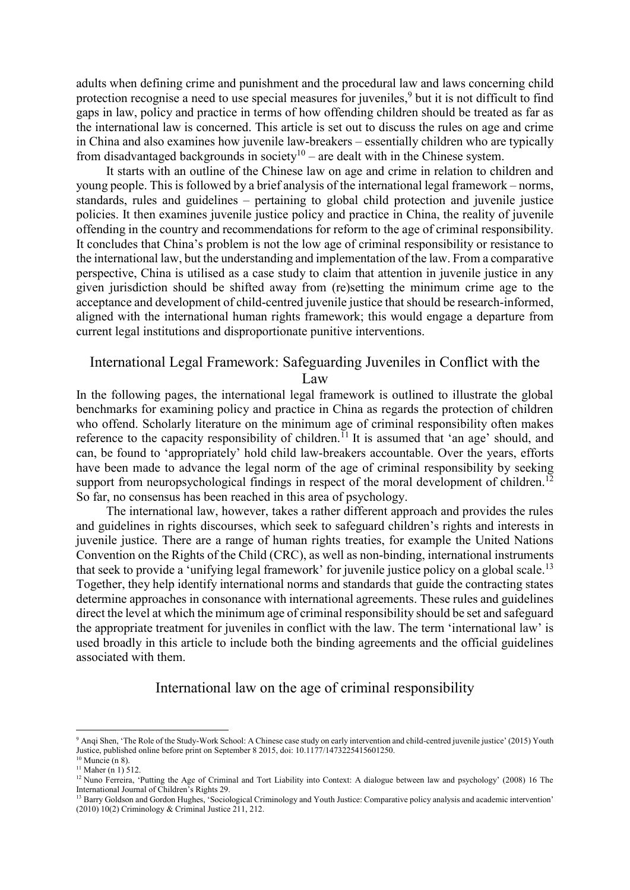adults when defining crime and punishment and the procedural law and laws concerning child protection recognise a need to use special measures for juveniles,<sup>9</sup> but it is not difficult to find gaps in law, policy and practice in terms of how offending children should be treated as far as the international law is concerned. This article is set out to discuss the rules on age and crime in China and also examines how juvenile law-breakers – essentially children who are typically from disadvantaged backgrounds in society<sup>10</sup> – are dealt with in the Chinese system.

It starts with an outline of the Chinese law on age and crime in relation to children and young people. This is followed by a brief analysis of the international legal framework – norms, standards, rules and guidelines – pertaining to global child protection and juvenile justice policies. It then examines juvenile justice policy and practice in China, the reality of juvenile offending in the country and recommendations for reform to the age of criminal responsibility. It concludes that China's problem is not the low age of criminal responsibility or resistance to the international law, but the understanding and implementation of the law. From a comparative perspective, China is utilised as a case study to claim that attention in juvenile justice in any given jurisdiction should be shifted away from (re)setting the minimum crime age to the acceptance and development of child-centred juvenile justice that should be research-informed, aligned with the international human rights framework; this would engage a departure from current legal institutions and disproportionate punitive interventions.

## International Legal Framework: Safeguarding Juveniles in Conflict with the Law

In the following pages, the international legal framework is outlined to illustrate the global benchmarks for examining policy and practice in China as regards the protection of children who offend. Scholarly literature on the minimum age of criminal responsibility often makes reference to the capacity responsibility of children.<sup>11</sup> It is assumed that 'an age' should, and can, be found to 'appropriately' hold child law-breakers accountable. Over the years, efforts have been made to advance the legal norm of the age of criminal responsibility by seeking support from neuropsychological findings in respect of the moral development of children.<sup>12</sup> So far, no consensus has been reached in this area of psychology.

The international law, however, takes a rather different approach and provides the rules and guidelines in rights discourses, which seek to safeguard children's rights and interests in juvenile justice. There are a range of human rights treaties, for example the United Nations Convention on the Rights of the Child (CRC), as well as non-binding, international instruments that seek to provide a 'unifying legal framework' for juvenile justice policy on a global scale.<sup>13</sup> Together, they help identify international norms and standards that guide the contracting states determine approaches in consonance with international agreements. These rules and guidelines direct the level at which the minimum age of criminal responsibility should be set and safeguard the appropriate treatment for juveniles in conflict with the law. The term 'international law' is used broadly in this article to include both the binding agreements and the official guidelines associated with them.

## International law on the age of criminal responsibility

<sup>&</sup>lt;sup>9</sup> Anqi Shen, 'The Role of the Study-Work School: A Chinese case study on early intervention and child-centred juvenile justice' (2015) Youth Justice, published online before print on September 8 2015, doi: 10.1177/1473225415601250.  $10$  Muncie (n 8).

 $11$  Maher (n 1) 512.

<sup>&</sup>lt;sup>12</sup> Nuno Ferreira, 'Putting the Age of Criminal and Tort Liability into Context: A dialogue between law and psychology' (2008) 16 The International Journal of Children's Rights 29.

<sup>&</sup>lt;sup>13</sup> Barry Goldson and Gordon Hughes, 'Sociological Criminology and Youth Justice: Comparative policy analysis and academic intervention' (2010) 10(2) Criminology & Criminal Justice 211, 212.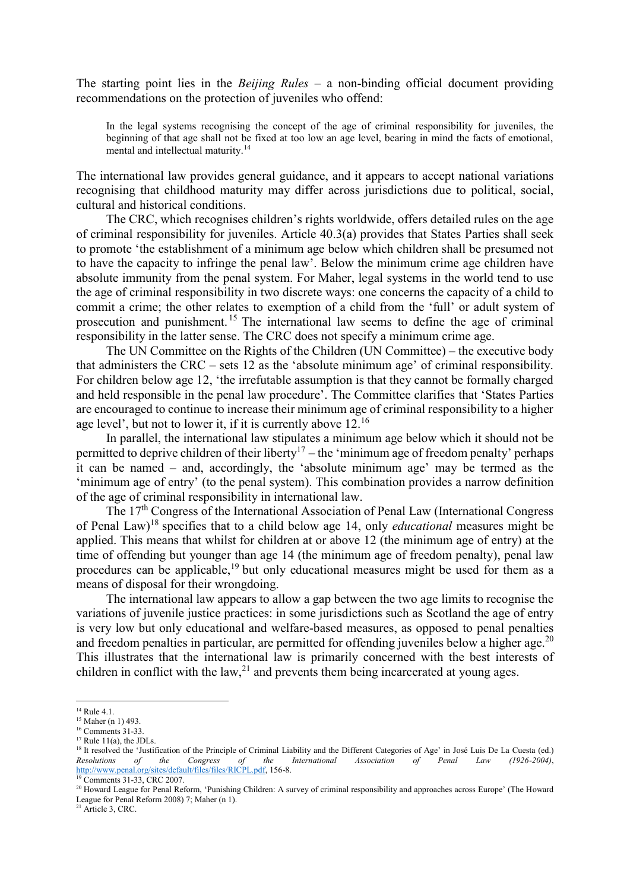The starting point lies in the *Beijing Rules* – a non-binding official document providing recommendations on the protection of juveniles who offend:

In the legal systems recognising the concept of the age of criminal responsibility for juveniles, the beginning of that age shall not be fixed at too low an age level, bearing in mind the facts of emotional, mental and intellectual maturity.<sup>14</sup>

The international law provides general guidance, and it appears to accept national variations recognising that childhood maturity may differ across jurisdictions due to political, social, cultural and historical conditions.

The CRC, which recognises children's rights worldwide, offers detailed rules on the age of criminal responsibility for juveniles. Article 40.3(a) provides that States Parties shall seek to promote 'the establishment of a minimum age below which children shall be presumed not to have the capacity to infringe the penal law'. Below the minimum crime age children have absolute immunity from the penal system. For Maher, legal systems in the world tend to use the age of criminal responsibility in two discrete ways: one concerns the capacity of a child to commit a crime; the other relates to exemption of a child from the 'full' or adult system of prosecution and punishment. <sup>15</sup> The international law seems to define the age of criminal responsibility in the latter sense. The CRC does not specify a minimum crime age.

The UN Committee on the Rights of the Children (UN Committee) – the executive body that administers the CRC – sets 12 as the 'absolute minimum age' of criminal responsibility. For children below age 12, 'the irrefutable assumption is that they cannot be formally charged and held responsible in the penal law procedure'. The Committee clarifies that 'States Parties are encouraged to continue to increase their minimum age of criminal responsibility to a higher age level', but not to lower it, if it is currently above 12.<sup>16</sup>

In parallel, the international law stipulates a minimum age below which it should not be permitted to deprive children of their liberty<sup>17</sup> – the 'minimum age of freedom penalty' perhaps it can be named – and, accordingly, the 'absolute minimum age' may be termed as the 'minimum age of entry' (to the penal system). This combination provides a narrow definition of the age of criminal responsibility in international law.

The 17<sup>th</sup> Congress of the International Association of Penal Law (International Congress of Penal Law)<sup>18</sup> specifies that to a child below age 14, only *educational* measures might be applied. This means that whilst for children at or above 12 (the minimum age of entry) at the time of offending but younger than age 14 (the minimum age of freedom penalty), penal law procedures can be applicable,<sup>19</sup> but only educational measures might be used for them as a means of disposal for their wrongdoing.

The international law appears to allow a gap between the two age limits to recognise the variations of juvenile justice practices: in some jurisdictions such as Scotland the age of entry is very low but only educational and welfare-based measures, as opposed to penal penalties and freedom penalties in particular, are permitted for offending juveniles below a higher age.<sup>20</sup> This illustrates that the international law is primarily concerned with the best interests of children in conflict with the law,<sup>21</sup> and prevents them being incarcerated at young ages.

<u>.</u>

 $21$  Article 3, CRC.

<sup>&</sup>lt;sup>14</sup> Rule 4.1.

<sup>&</sup>lt;sup>15</sup> Maher (n 1) 493.

<sup>&</sup>lt;sup>16</sup> Comments 31-33.

 $17$  Rule 11(a), the JDLs.

<sup>&</sup>lt;sup>18</sup> It resolved the 'Justification of the Principle of Criminal Liability and the Different Categories of Age' in José Luis De La Cuesta (ed.)<br>Resolutions of the Congress of the International Association of Penal Law (19 *Resolutions of the Congress of the International Association of Penal Law (1926-2004)*, [http://www.penal.org/sites/default/files/files/RICPL.pdf,](http://www.penal.org/sites/default/files/files/RICPL.pdf) 156-8.

<sup>&</sup>lt;sup>19</sup> Comments 31-33, CRC 2007.

<sup>&</sup>lt;sup>20</sup> Howard League for Penal Reform, 'Punishing Children: A survey of criminal responsibility and approaches across Europe' (The Howard League for Penal Reform 2008) 7; Maher (n 1).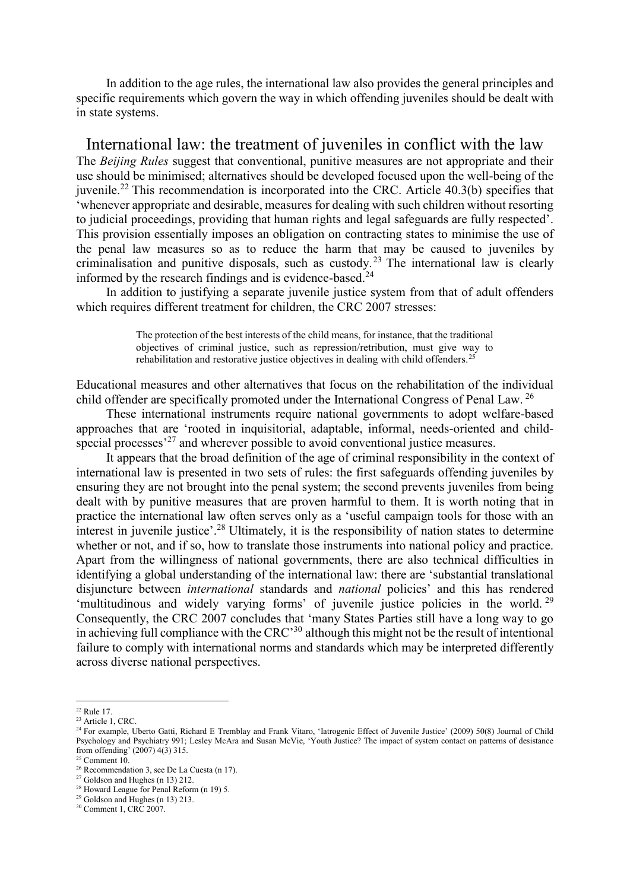In addition to the age rules, the international law also provides the general principles and specific requirements which govern the way in which offending juveniles should be dealt with in state systems.

International law: the treatment of juveniles in conflict with the law The *Beijing Rules* suggest that conventional, punitive measures are not appropriate and their use should be minimised; alternatives should be developed focused upon the well-being of the juvenile.<sup>22</sup> This recommendation is incorporated into the CRC. Article  $40.3(b)$  specifies that 'whenever appropriate and desirable, measures for dealing with such children without resorting to judicial proceedings, providing that human rights and legal safeguards are fully respected'. This provision essentially imposes an obligation on contracting states to minimise the use of the penal law measures so as to reduce the harm that may be caused to juveniles by criminalisation and punitive disposals, such as custody.<sup>23</sup> The international law is clearly informed by the research findings and is evidence-based. $24$ 

In addition to justifying a separate juvenile justice system from that of adult offenders which requires different treatment for children, the CRC 2007 stresses:

> The protection of the best interests of the child means, for instance, that the traditional objectives of criminal justice, such as repression/retribution, must give way to rehabilitation and restorative justice objectives in dealing with child offenders.<sup>25</sup>

Educational measures and other alternatives that focus on the rehabilitation of the individual child offender are specifically promoted under the International Congress of Penal Law. <sup>26</sup>

These international instruments require national governments to adopt welfare-based approaches that are 'rooted in inquisitorial, adaptable, informal, needs-oriented and childspecial processes<sup>27</sup> and wherever possible to avoid conventional justice measures.

 It appears that the broad definition of the age of criminal responsibility in the context of international law is presented in two sets of rules: the first safeguards offending juveniles by ensuring they are not brought into the penal system; the second prevents juveniles from being dealt with by punitive measures that are proven harmful to them. It is worth noting that in practice the international law often serves only as a 'useful campaign tools for those with an interest in juvenile justice'.<sup>28</sup> Ultimately, it is the responsibility of nation states to determine whether or not, and if so, how to translate those instruments into national policy and practice. Apart from the willingness of national governments, there are also technical difficulties in identifying a global understanding of the international law: there are 'substantial translational disjuncture between *international* standards and *national* policies' and this has rendered 'multitudinous and widely varying forms' of juvenile justice policies in the world.<sup>29</sup> Consequently, the CRC 2007 concludes that 'many States Parties still have a long way to go in achieving full compliance with the  $CRC<sup>30</sup>$  although this might not be the result of intentional failure to comply with international norms and standards which may be interpreted differently across diverse national perspectives.

<sup>22</sup> Rule 17.

 $23$  Article 1, CRC.

<sup>24</sup> For example, Uberto Gatti, Richard E Tremblay and Frank Vitaro, 'Iatrogenic Effect of Juvenile Justice' (2009) 50(8) Journal of Child Psychology and Psychiatry 991; Lesley McAra and Susan McVie, 'Youth Justice? The impact of system contact on patterns of desistance from offending' (2007) 4(3) 315.

 $25$  Comment 10.

 $26$  Recommendation 3, see De La Cuesta (n 17).

<sup>27</sup> Goldson and Hughes (n 13) 212.

<sup>&</sup>lt;sup>28</sup> Howard League for Penal Reform (n 19) 5.

<sup>&</sup>lt;sup>29</sup> Goldson and Hughes (n 13) 213.

<sup>30</sup> Comment 1, CRC 2007.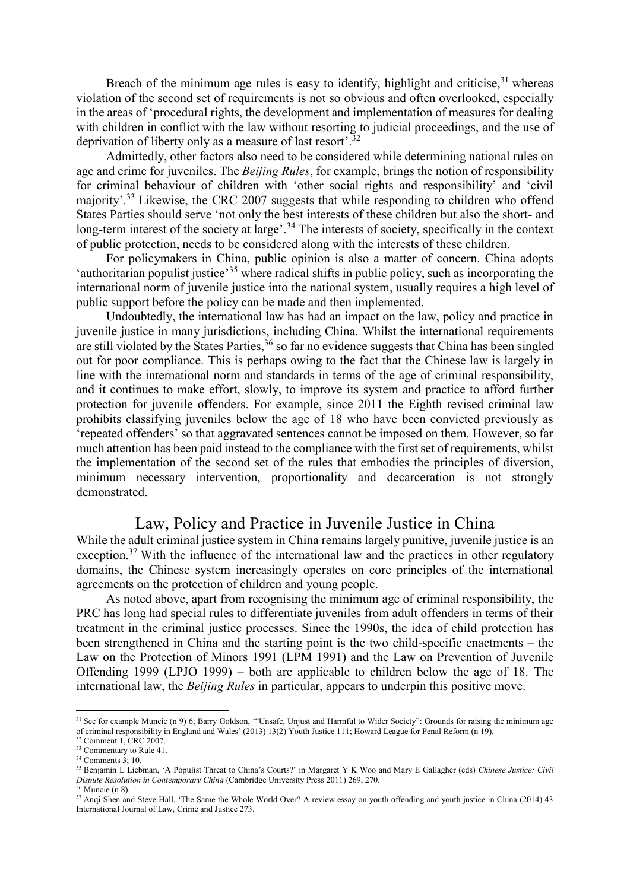Breach of the minimum age rules is easy to identify, highlight and criticise.<sup>31</sup> whereas violation of the second set of requirements is not so obvious and often overlooked, especially in the areas of 'procedural rights, the development and implementation of measures for dealing with children in conflict with the law without resorting to judicial proceedings, and the use of deprivation of liberty only as a measure of last resort'.<sup>32</sup>

 Admittedly, other factors also need to be considered while determining national rules on age and crime for juveniles. The *Beijing Rules*, for example, brings the notion of responsibility for criminal behaviour of children with 'other social rights and responsibility' and 'civil majority'.<sup>33</sup> Likewise, the CRC 2007 suggests that while responding to children who offend States Parties should serve 'not only the best interests of these children but also the short- and long-term interest of the society at large'.<sup>34</sup> The interests of society, specifically in the context of public protection, needs to be considered along with the interests of these children.

 For policymakers in China, public opinion is also a matter of concern. China adopts 'authoritarian populist justice'<sup>35</sup> where radical shifts in public policy, such as incorporating the international norm of juvenile justice into the national system, usually requires a high level of public support before the policy can be made and then implemented.

Undoubtedly, the international law has had an impact on the law, policy and practice in juvenile justice in many jurisdictions, including China. Whilst the international requirements are still violated by the States Parties,  $36$  so far no evidence suggests that China has been singled out for poor compliance. This is perhaps owing to the fact that the Chinese law is largely in line with the international norm and standards in terms of the age of criminal responsibility, and it continues to make effort, slowly, to improve its system and practice to afford further protection for juvenile offenders. For example, since 2011 the Eighth revised criminal law prohibits classifying juveniles below the age of 18 who have been convicted previously as 'repeated offenders' so that aggravated sentences cannot be imposed on them. However, so far much attention has been paid instead to the compliance with the first set of requirements, whilst the implementation of the second set of the rules that embodies the principles of diversion, minimum necessary intervention, proportionality and decarceration is not strongly demonstrated.

## Law, Policy and Practice in Juvenile Justice in China

While the adult criminal justice system in China remains largely punitive, juvenile justice is an exception.<sup>37</sup> With the influence of the international law and the practices in other regulatory domains, the Chinese system increasingly operates on core principles of the international agreements on the protection of children and young people.

 As noted above, apart from recognising the minimum age of criminal responsibility, the PRC has long had special rules to differentiate juveniles from adult offenders in terms of their treatment in the criminal justice processes. Since the 1990s, the idea of child protection has been strengthened in China and the starting point is the two child-specific enactments – the Law on the Protection of Minors 1991 (LPM 1991) and the Law on Prevention of Juvenile Offending 1999 (LPJO 1999) – both are applicable to children below the age of 18. The international law, the *Beijing Rules* in particular, appears to underpin this positive move.

<sup>&</sup>lt;sup>31</sup> See for example Muncie (n 9) 6; Barry Goldson, "Unsafe, Unjust and Harmful to Wider Society": Grounds for raising the minimum age of criminal responsibility in England and Wales' (2013) 13(2) Youth Justice 111; Howard League for Penal Reform (n 19).

<sup>32</sup> Comment 1, CRC 2007.

<sup>&</sup>lt;sup>33</sup> Commentary to Rule 41.

 $34$  Comments  $3$ ; 10.

<sup>35</sup> Benjamin L Liebman, 'A Populist Threat to China's Courts?' in Margaret Y K Woo and Mary E Gallagher (eds) *Chinese Justice: Civil Dispute Resolution in Contemporary China* (Cambridge University Press 2011) 269, 270.

 $36$  Muncie (n 8).

<sup>&</sup>lt;sup>37</sup> Anai Shen and Steve Hall, 'The Same the Whole World Over? A review essay on youth offending and youth justice in China (2014) 43 International Journal of Law, Crime and Justice 273.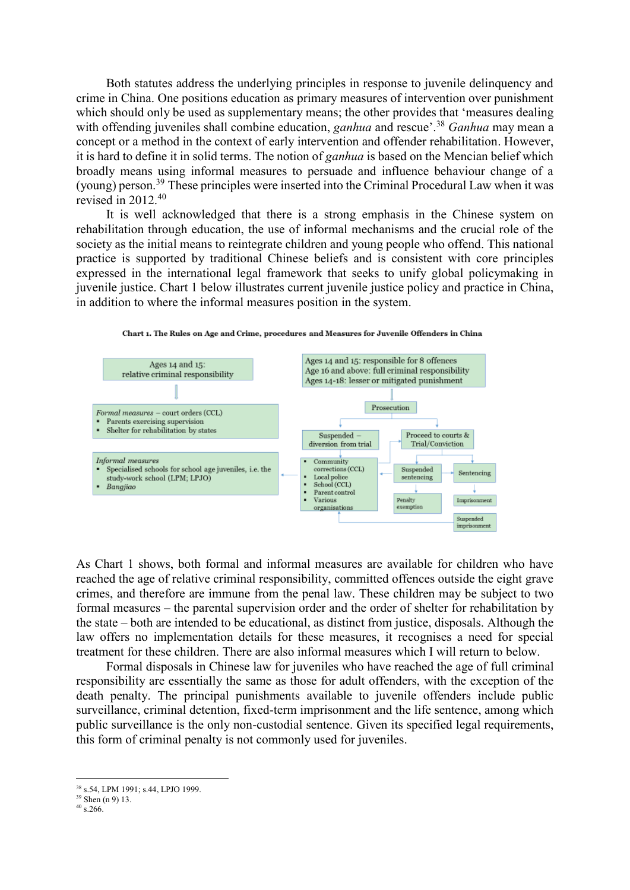Both statutes address the underlying principles in response to juvenile delinquency and crime in China. One positions education as primary measures of intervention over punishment which should only be used as supplementary means; the other provides that 'measures dealing with offending juveniles shall combine education, *ganhua* and rescue'.<sup>38</sup> *Ganhua* may mean a concept or a method in the context of early intervention and offender rehabilitation. However, it is hard to define it in solid terms. The notion of *ganhua* is based on the Mencian belief which broadly means using informal measures to persuade and influence behaviour change of a (young) person.<sup>39</sup> These principles were inserted into the Criminal Procedural Law when it was revised in 2012.<sup>40</sup>

 It is well acknowledged that there is a strong emphasis in the Chinese system on rehabilitation through education, the use of informal mechanisms and the crucial role of the society as the initial means to reintegrate children and young people who offend. This national practice is supported by traditional Chinese beliefs and is consistent with core principles expressed in the international legal framework that seeks to unify global policymaking in juvenile justice. Chart 1 below illustrates current juvenile justice policy and practice in China, in addition to where the informal measures position in the system.



Chart 1. The Rules on Age and Crime, procedures and Measures for Juvenile Offenders in China

As Chart 1 shows, both formal and informal measures are available for children who have reached the age of relative criminal responsibility, committed offences outside the eight grave crimes, and therefore are immune from the penal law. These children may be subject to two formal measures – the parental supervision order and the order of shelter for rehabilitation by the state – both are intended to be educational, as distinct from justice, disposals. Although the law offers no implementation details for these measures, it recognises a need for special treatment for these children. There are also informal measures which I will return to below.

 Formal disposals in Chinese law for juveniles who have reached the age of full criminal responsibility are essentially the same as those for adult offenders, with the exception of the death penalty. The principal punishments available to juvenile offenders include public surveillance, criminal detention, fixed-term imprisonment and the life sentence, among which public surveillance is the only non-custodial sentence. Given its specified legal requirements, this form of criminal penalty is not commonly used for juveniles.

<sup>38</sup> s.54, LPM 1991; s.44, LPJO 1999.

<sup>39</sup> Shen (n 9) 13.

 $40$  s.266.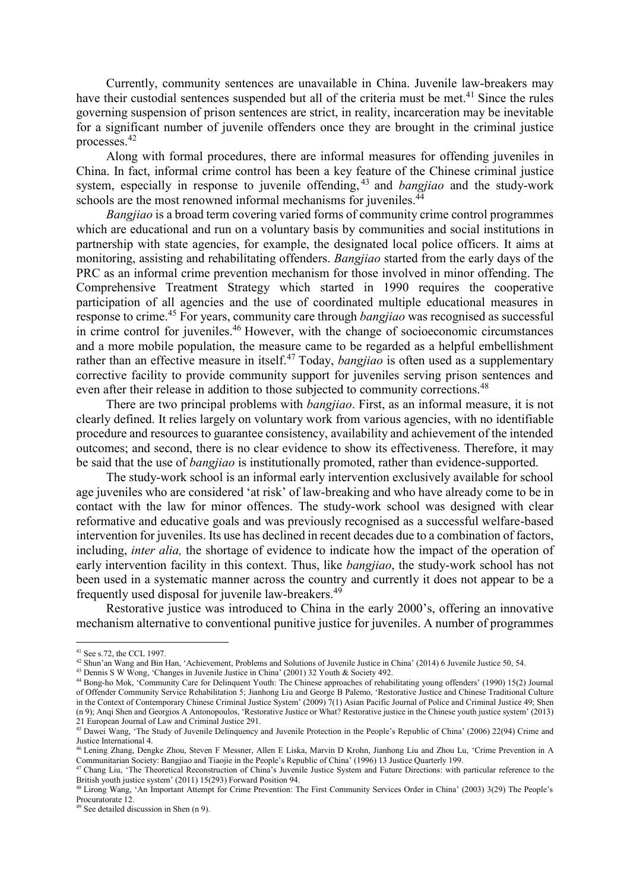Currently, community sentences are unavailable in China. Juvenile law-breakers may have their custodial sentences suspended but all of the criteria must be met.<sup>41</sup> Since the rules governing suspension of prison sentences are strict, in reality, incarceration may be inevitable for a significant number of juvenile offenders once they are brought in the criminal justice processes.<sup>42</sup>

 Along with formal procedures, there are informal measures for offending juveniles in China. In fact, informal crime control has been a key feature of the Chinese criminal justice system, especially in response to juvenile offending, <sup>43</sup> and *bangjiao* and the study-work schools are the most renowned informal mechanisms for juveniles.<sup>44</sup>

*Bangjiao* is a broad term covering varied forms of community crime control programmes which are educational and run on a voluntary basis by communities and social institutions in partnership with state agencies, for example, the designated local police officers. It aims at monitoring, assisting and rehabilitating offenders. *Bangjiao* started from the early days of the PRC as an informal crime prevention mechanism for those involved in minor offending. The Comprehensive Treatment Strategy which started in 1990 requires the cooperative participation of all agencies and the use of coordinated multiple educational measures in response to crime.<sup>45</sup> For years, community care through *bangjiao* was recognised as successful in crime control for juveniles.<sup>46</sup> However, with the change of socioeconomic circumstances and a more mobile population, the measure came to be regarded as a helpful embellishment rather than an effective measure in itself.<sup>47</sup> Today, *bangjiao* is often used as a supplementary corrective facility to provide community support for juveniles serving prison sentences and even after their release in addition to those subjected to community corrections.<sup>48</sup>

 There are two principal problems with *bangjiao*. First, as an informal measure, it is not clearly defined. It relies largely on voluntary work from various agencies, with no identifiable procedure and resources to guarantee consistency, availability and achievement of the intended outcomes; and second, there is no clear evidence to show its effectiveness. Therefore, it may be said that the use of *bangjiao* is institutionally promoted, rather than evidence-supported.

 The study-work school is an informal early intervention exclusively available for school age juveniles who are considered 'at risk' of law-breaking and who have already come to be in contact with the law for minor offences. The study-work school was designed with clear reformative and educative goals and was previously recognised as a successful welfare-based intervention for juveniles. Its use has declined in recent decades due to a combination of factors, including, *inter alia,* the shortage of evidence to indicate how the impact of the operation of early intervention facility in this context. Thus, like *bangjiao*, the study-work school has not been used in a systematic manner across the country and currently it does not appear to be a frequently used disposal for juvenile law-breakers.<sup>49</sup>

 Restorative justice was introduced to China in the early 2000's, offering an innovative mechanism alternative to conventional punitive justice for juveniles. A number of programmes

 $41$  See s.72, the CCL 1997.

<sup>42</sup> Shun'an Wang and Bin Han, 'Achievement, Problems and Solutions of Juvenile Justice in China' (2014) 6 Juvenile Justice 50, 54.

<sup>43</sup> Dennis S W Wong, 'Changes in Juvenile Justice in China' (2001) 32 Youth & Society 492.

<sup>44</sup> Bong-ho Mok, 'Community Care for Delinquent Youth: The Chinese approaches of rehabilitating young offenders' (1990) 15(2) Journal of Offender Community Service Rehabilitation 5; Jianhong Liu and George B Palemo, 'Restorative Justice and Chinese Traditional Culture in the Context of Contemporary Chinese Criminal Justice System' (2009) 7(1) Asian Pacific Journal of Police and Criminal Justice 49; Shen (n 9); Anqi Shen and Georgios A Antonopoulos, 'Restorative Justice or What? Restorative justice in the Chinese youth justice system' (2013) 21 European Journal of Law and Criminal Justice 291.

<sup>45</sup> Dawei Wang, 'The Study of Juvenile Delinquency and Juvenile Protection in the People's Republic of China' (2006) 22(94) Crime and Justice International 4.

<sup>46</sup> Lening Zhang, Dengke Zhou, Steven F Messner, Allen E Liska, Marvin D Krohn, Jianhong Liu and Zhou Lu, 'Crime Prevention in A Communitarian Society: Bangjiao and Tiaojie in the People's Republic of China' (1996) 13 Justice Quarterly 199.

<sup>&</sup>lt;sup>47</sup> Chang Liu, 'The Theoretical Reconstruction of China's Juvenile Justice System and Future Directions: with particular reference to the British youth justice system' (2011) 15(293) Forward Position 94.

<sup>48</sup> Lirong Wang, 'An Important Attempt for Crime Prevention: The First Community Services Order in China' (2003) 3(29) The People's Procuratorate 12.

<sup>49</sup> See detailed discussion in Shen (n 9).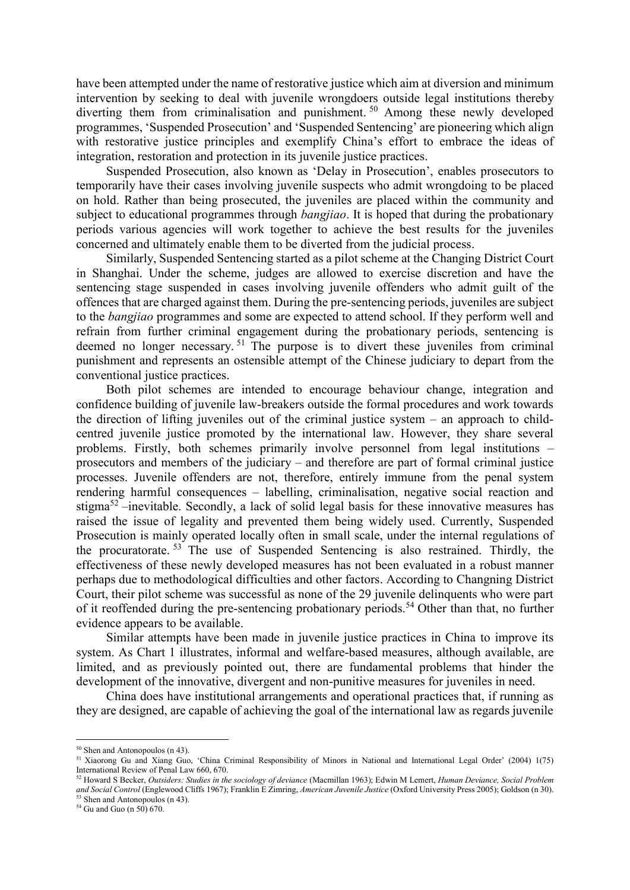have been attempted under the name of restorative justice which aim at diversion and minimum intervention by seeking to deal with juvenile wrongdoers outside legal institutions thereby diverting them from criminalisation and punishment.<sup>50</sup> Among these newly developed programmes, 'Suspended Prosecution' and 'Suspended Sentencing' are pioneering which align with restorative justice principles and exemplify China's effort to embrace the ideas of integration, restoration and protection in its juvenile justice practices.

Suspended Prosecution, also known as 'Delay in Prosecution', enables prosecutors to temporarily have their cases involving juvenile suspects who admit wrongdoing to be placed on hold. Rather than being prosecuted, the juveniles are placed within the community and subject to educational programmes through *bangjiao*. It is hoped that during the probationary periods various agencies will work together to achieve the best results for the juveniles concerned and ultimately enable them to be diverted from the judicial process.

 Similarly, Suspended Sentencing started as a pilot scheme at the Changing District Court in Shanghai. Under the scheme, judges are allowed to exercise discretion and have the sentencing stage suspended in cases involving juvenile offenders who admit guilt of the offences that are charged against them. During the pre-sentencing periods, juveniles are subject to the *bangjiao* programmes and some are expected to attend school. If they perform well and refrain from further criminal engagement during the probationary periods, sentencing is deemed no longer necessary. <sup>51</sup> The purpose is to divert these juveniles from criminal punishment and represents an ostensible attempt of the Chinese judiciary to depart from the conventional justice practices.

 Both pilot schemes are intended to encourage behaviour change, integration and confidence building of juvenile law-breakers outside the formal procedures and work towards the direction of lifting juveniles out of the criminal justice system – an approach to childcentred juvenile justice promoted by the international law. However, they share several problems. Firstly, both schemes primarily involve personnel from legal institutions – prosecutors and members of the judiciary – and therefore are part of formal criminal justice processes. Juvenile offenders are not, therefore, entirely immune from the penal system rendering harmful consequences – labelling, criminalisation, negative social reaction and stigma<sup>52</sup> –inevitable. Secondly, a lack of solid legal basis for these innovative measures has raised the issue of legality and prevented them being widely used. Currently, Suspended Prosecution is mainly operated locally often in small scale, under the internal regulations of the procuratorate. <sup>53</sup> The use of Suspended Sentencing is also restrained. Thirdly, the effectiveness of these newly developed measures has not been evaluated in a robust manner perhaps due to methodological difficulties and other factors. According to Changning District Court, their pilot scheme was successful as none of the 29 juvenile delinquents who were part of it reoffended during the pre-sentencing probationary periods.<sup>54</sup> Other than that, no further evidence appears to be available.

Similar attempts have been made in juvenile justice practices in China to improve its system. As Chart 1 illustrates, informal and welfare-based measures, although available, are limited, and as previously pointed out, there are fundamental problems that hinder the development of the innovative, divergent and non-punitive measures for juveniles in need.

 China does have institutional arrangements and operational practices that, if running as they are designed, are capable of achieving the goal of the international law as regards juvenile

<sup>50</sup> Shen and Antonopoulos (n 43).

<sup>51</sup> Xiaorong Gu and Xiang Guo, 'China Criminal Responsibility of Minors in National and International Legal Order' (2004) 1(75) International Review of Penal Law 660, 670.

<sup>52</sup> Howard S Becker, *Outsiders: Studies in the sociology of deviance* (Macmillan 1963); Edwin M Lemert, *Human Deviance, Social Problem and Social Control* (Englewood Cliffs 1967); Franklin E Zimring, *American Juvenile Justice* (Oxford University Press 2005); Goldson (n 30). <sup>53</sup> Shen and Antonopoulos (n 43).

<sup>54</sup> Gu and Guo (n 50) 670.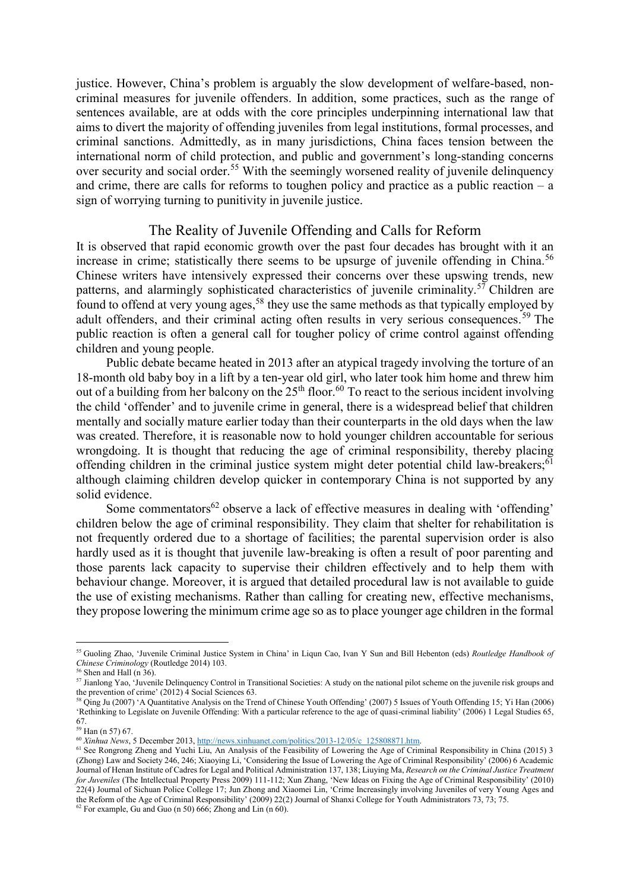justice. However, China's problem is arguably the slow development of welfare-based, noncriminal measures for juvenile offenders. In addition, some practices, such as the range of sentences available, are at odds with the core principles underpinning international law that aims to divert the majority of offending juveniles from legal institutions, formal processes, and criminal sanctions. Admittedly, as in many jurisdictions, China faces tension between the international norm of child protection, and public and government's long-standing concerns over security and social order.<sup>55</sup> With the seemingly worsened reality of juvenile delinquency and crime, there are calls for reforms to toughen policy and practice as a public reaction – a sign of worrying turning to punitivity in juvenile justice.

## The Reality of Juvenile Offending and Calls for Reform

It is observed that rapid economic growth over the past four decades has brought with it an increase in crime; statistically there seems to be upsurge of juvenile offending in China.<sup>56</sup> Chinese writers have intensively expressed their concerns over these upswing trends, new patterns, and alarmingly sophisticated characteristics of juvenile criminality.<sup>57</sup> Children are found to offend at very young ages,<sup>58</sup> they use the same methods as that typically employed by adult offenders, and their criminal acting often results in very serious consequences.<sup>59</sup> The public reaction is often a general call for tougher policy of crime control against offending children and young people.

 Public debate became heated in 2013 after an atypical tragedy involving the torture of an 18-month old baby boy in a lift by a ten-year old girl, who later took him home and threw him out of a building from her balcony on the  $25<sup>th</sup>$  floor.<sup>60</sup> To react to the serious incident involving the child 'offender' and to juvenile crime in general, there is a widespread belief that children mentally and socially mature earlier today than their counterparts in the old days when the law was created. Therefore, it is reasonable now to hold younger children accountable for serious wrongdoing. It is thought that reducing the age of criminal responsibility, thereby placing offending children in the criminal justice system might deter potential child law-breakers;<sup>61</sup> although claiming children develop quicker in contemporary China is not supported by any solid evidence.

Some commentators<sup>62</sup> observe a lack of effective measures in dealing with 'offending' children below the age of criminal responsibility. They claim that shelter for rehabilitation is not frequently ordered due to a shortage of facilities; the parental supervision order is also hardly used as it is thought that juvenile law-breaking is often a result of poor parenting and those parents lack capacity to supervise their children effectively and to help them with behaviour change. Moreover, it is argued that detailed procedural law is not available to guide the use of existing mechanisms. Rather than calling for creating new, effective mechanisms, they propose lowering the minimum crime age so as to place younger age children in the formal

<sup>55</sup> Guoling Zhao, 'Juvenile Criminal Justice System in China' in Liqun Cao, Ivan Y Sun and Bill Hebenton (eds) *Routledge Handbook of Chinese Criminology* (Routledge 2014) 103.

 $56$  Shen and Hall (n 36).

<sup>57</sup> Jianlong Yao, 'Juvenile Delinquency Control in Transitional Societies: A study on the national pilot scheme on the juvenile risk groups and the prevention of crime' (2012)  $\frac{1}{4}$  Social Sciences 63.

<sup>&</sup>lt;sup>58</sup> Oing Ju (2007) 'A Quantitative Analysis on the Trend of Chinese Youth Offending' (2007) 5 Issues of Youth Offending 15; Yi Han (2006) 'Rethinking to Legislate on Juvenile Offending: With a particular reference to the age of quasi-criminal liability' (2006) 1 Legal Studies 65, 67.

 $59$  Han (n 57) 67.

<sup>60</sup> *Xinhua News*, 5 December 2013[, http://news.xinhuanet.com/politics/2013-12/05/c\\_125808871.htm.](http://news.xinhuanet.com/politics/2013-12/05/c_125808871.htm) 

<sup>&</sup>lt;sup>61</sup> See Rongrong Zheng and Yuchi Liu, An Analysis of the Feasibility of Lowering the Age of Criminal Responsibility in China (2015) 3 (Zhong) Law and Society 246, 246; Xiaoying Li, 'Considering the Issue of Lowering the Age of Criminal Responsibility' (2006) 6 Academic Journal of Henan Institute of Cadres for Legal and Political Administration 137, 138; Liuying Ma, *Research on the Criminal Justice Treatment for Juveniles* (The Intellectual Property Press 2009) 111-112; Xun Zhang, 'New Ideas on Fixing the Age of Criminal Responsibility' (2010) 22(4) Journal of Sichuan Police College 17; Jun Zhong and Xiaomei Lin, 'Crime Increasingly involving Juveniles of very Young Ages and the Reform of the Age of Criminal Responsibility' (2009) 22(2) Journal of Shanxi College for Youth Administrators 73, 73; 75.

 $62$  For example, Gu and Guo (n 50) 666; Zhong and Lin (n 60).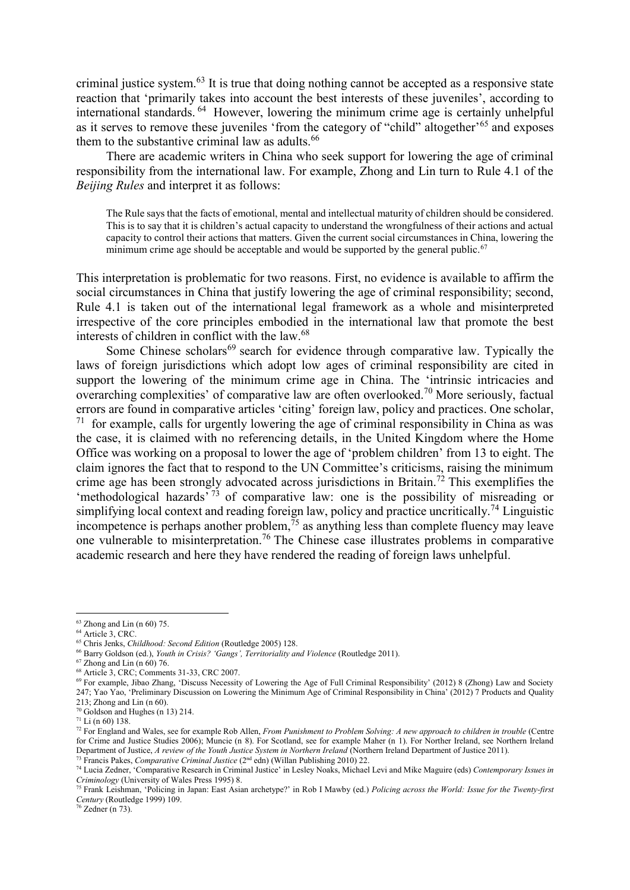criminal justice system.<sup>63</sup> It is true that doing nothing cannot be accepted as a responsive state reaction that 'primarily takes into account the best interests of these juveniles', according to international standards. <sup>64</sup> However, lowering the minimum crime age is certainly unhelpful as it serves to remove these juveniles 'from the category of "child" altogether'<sup>65</sup> and exposes them to the substantive criminal law as adults.<sup>66</sup>

There are academic writers in China who seek support for lowering the age of criminal responsibility from the international law. For example, Zhong and Lin turn to Rule 4.1 of the *Beijing Rules* and interpret it as follows:

The Rule says that the facts of emotional, mental and intellectual maturity of children should be considered. This is to say that it is children's actual capacity to understand the wrongfulness of their actions and actual capacity to control their actions that matters. Given the current social circumstances in China, lowering the minimum crime age should be acceptable and would be supported by the general public.<sup>67</sup>

This interpretation is problematic for two reasons. First, no evidence is available to affirm the social circumstances in China that justify lowering the age of criminal responsibility; second, Rule 4.1 is taken out of the international legal framework as a whole and misinterpreted irrespective of the core principles embodied in the international law that promote the best interests of children in conflict with the law.<sup>68</sup>

Some Chinese scholars<sup>69</sup> search for evidence through comparative law. Typically the laws of foreign jurisdictions which adopt low ages of criminal responsibility are cited in support the lowering of the minimum crime age in China. The 'intrinsic intricacies and overarching complexities' of comparative law are often overlooked.<sup>70</sup> More seriously, factual errors are found in comparative articles 'citing' foreign law, policy and practices. One scholar,  $71$  for example, calls for urgently lowering the age of criminal responsibility in China as was the case, it is claimed with no referencing details, in the United Kingdom where the Home Office was working on a proposal to lower the age of 'problem children' from 13 to eight. The claim ignores the fact that to respond to the UN Committee's criticisms, raising the minimum crime age has been strongly advocated across jurisdictions in Britain.<sup>72</sup> This exemplifies the 'methodological hazards' <sup>73</sup> of comparative law: one is the possibility of misreading or simplifying local context and reading foreign law, policy and practice uncritically.<sup>74</sup> Linguistic incompetence is perhaps another problem,<sup>75</sup> as anything less than complete fluency may leave one vulnerable to misinterpretation.<sup>76</sup> The Chinese case illustrates problems in comparative academic research and here they have rendered the reading of foreign laws unhelpful.

<u>.</u>

 $76$  Zedner (n 73).

 $63$  Zhong and Lin (n 60) 75.

<sup>&</sup>lt;sup>64</sup> Article 3, CRC.

<sup>65</sup> Chris Jenks, *Childhood: Second Edition* (Routledge 2005) 128.

<sup>66</sup> Barry Goldson (ed.), *Youth in Crisis? 'Gangs', Territoriality and Violence* (Routledge 2011).

 $67$  Zhong and Lin (n 60) 76.

<sup>68</sup> Article 3, CRC; Comments 31-33, CRC 2007.

<sup>69</sup> For example, Jibao Zhang, 'Discuss Necessity of Lowering the Age of Full Criminal Responsibility' (2012) 8 (Zhong) Law and Society 247; Yao Yao, 'Preliminary Discussion on Lowering the Minimum Age of Criminal Responsibility in China' (2012) 7 Products and Quality 213; Zhong and Lin (n 60).

<sup>70</sup> Goldson and Hughes (n 13) 214.

 $71$  Li (n 60) 138.

<sup>72</sup> For England and Wales, see for example Rob Allen, *From Punishment to Problem Solving: A new approach to children in trouble* (Centre for Crime and Justice Studies 2006); Muncie (n 8). For Scotland, see for example Maher (n 1). For Norther Ireland, see Northern Ireland Department of Justice, *A review of the Youth Justice System in Northern Ireland* (Northern Ireland Department of Justice 2011). <sup>73</sup> Francis Pakes, *Comparative Criminal Justice* (2nd edn) (Willan Publishing 2010) 22.

<sup>74</sup> Lucia Zedner, 'Comparative Research in Criminal Justice' in Lesley Noaks, Michael Levi and Mike Maguire (eds) *Contemporary Issues in* 

*Criminology* (University of Wales Press 1995) 8.

<sup>75</sup> Frank Leishman, 'Policing in Japan: East Asian archetype?' in Rob I Mawby (ed.) *Policing across the World: Issue for the Twenty-first Century* (Routledge 1999) 109.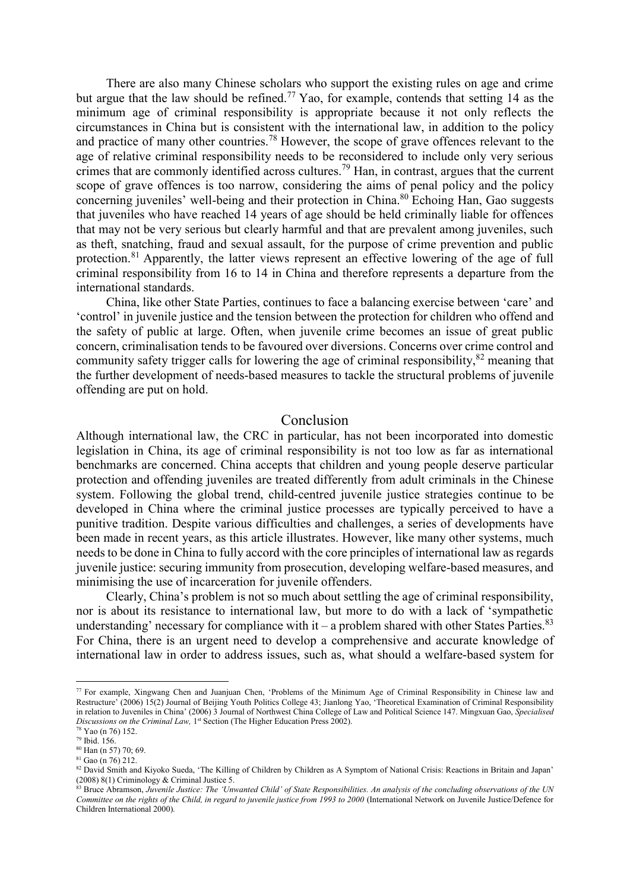There are also many Chinese scholars who support the existing rules on age and crime but argue that the law should be refined.<sup>77</sup> Yao, for example, contends that setting 14 as the minimum age of criminal responsibility is appropriate because it not only reflects the circumstances in China but is consistent with the international law, in addition to the policy and practice of many other countries.<sup>78</sup> However, the scope of grave offences relevant to the age of relative criminal responsibility needs to be reconsidered to include only very serious crimes that are commonly identified across cultures.<sup>79</sup> Han, in contrast, argues that the current scope of grave offences is too narrow, considering the aims of penal policy and the policy concerning juveniles' well-being and their protection in China. <sup>80</sup> Echoing Han, Gao suggests that juveniles who have reached 14 years of age should be held criminally liable for offences that may not be very serious but clearly harmful and that are prevalent among juveniles, such as theft, snatching, fraud and sexual assault, for the purpose of crime prevention and public protection.<sup>81</sup> Apparently, the latter views represent an effective lowering of the age of full criminal responsibility from 16 to 14 in China and therefore represents a departure from the international standards.

 China, like other State Parties, continues to face a balancing exercise between 'care' and 'control' in juvenile justice and the tension between the protection for children who offend and the safety of public at large. Often, when juvenile crime becomes an issue of great public concern, criminalisation tends to be favoured over diversions. Concerns over crime control and community safety trigger calls for lowering the age of criminal responsibility, $82$  meaning that the further development of needs-based measures to tackle the structural problems of juvenile offending are put on hold.

#### Conclusion

Although international law, the CRC in particular, has not been incorporated into domestic legislation in China, its age of criminal responsibility is not too low as far as international benchmarks are concerned. China accepts that children and young people deserve particular protection and offending juveniles are treated differently from adult criminals in the Chinese system. Following the global trend, child-centred juvenile justice strategies continue to be developed in China where the criminal justice processes are typically perceived to have a punitive tradition. Despite various difficulties and challenges, a series of developments have been made in recent years, as this article illustrates. However, like many other systems, much needs to be done in China to fully accord with the core principles of international law as regards juvenile justice: securing immunity from prosecution, developing welfare-based measures, and minimising the use of incarceration for juvenile offenders.

 Clearly, China's problem is not so much about settling the age of criminal responsibility, nor is about its resistance to international law, but more to do with a lack of 'sympathetic understanding' necessary for compliance with it – a problem shared with other States Parties.  $83$ For China, there is an urgent need to develop a comprehensive and accurate knowledge of international law in order to address issues, such as, what should a welfare-based system for

<sup>77</sup> For example, Xingwang Chen and Juanjuan Chen, 'Problems of the Minimum Age of Criminal Responsibility in Chinese law and Restructure' (2006) 15(2) Journal of Beijing Youth Politics College 43; Jianlong Yao, 'Theoretical Examination of Criminal Responsibility in relation to Juveniles in China' (2006) 3 Journal of Northwest China College of Law and Political Science 147. Mingxuan Gao, *Specialised*  Discussions on the Criminal Law, 1<sup>st</sup> Section (The Higher Education Press 2002).

<sup>78</sup> Yao (n 76) 152.

<sup>79</sup> Ibid. 156.

<sup>80</sup> Han (n 57) 70; 69.

 $81$  Gao (n 76) 212.

<sup>82</sup> David Smith and Kiyoko Sueda, 'The Killing of Children by Children as A Symptom of National Crisis: Reactions in Britain and Japan' (2008) 8(1) Criminology & Criminal Justice 5.

<sup>83</sup> Bruce Abramson, *Juvenile Justice: The 'Unwanted Child' of State Responsibilities. An analysis of the concluding observations of the UN Committee on the rights of the Child, in regard to juvenile justice from 1993 to 2000* (International Network on Juvenile Justice/Defence for Children International 2000).